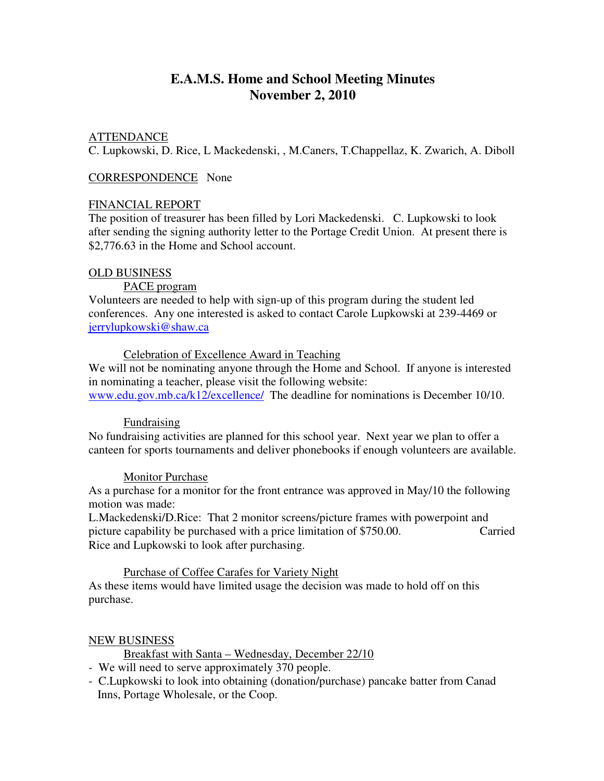# **E.A.M.S. Home and School Meeting Minutes November 2, 2010**

# ATTENDANCE

C. Lupkowski, D. Rice, L Mackedenski, , M.Caners, T.Chappellaz, K. Zwarich, A. Diboll

#### CORRESPONDENCE None

#### FINANCIAL REPORT

The position of treasurer has been filled by Lori Mackedenski. C. Lupkowski to look after sending the signing authority letter to the Portage Credit Union. At present there is \$2,776.63 in the Home and School account.

#### OLD BUSINESS

PACE program

Volunteers are needed to help with sign-up of this program during the student led conferences. Any one interested is asked to contact Carole Lupkowski at 239-4469 or jerrylupkowski@shaw.ca

Celebration of Excellence Award in Teaching

We will not be nominating anyone through the Home and School. If anyone is interested in nominating a teacher, please visit the following website:

www.edu.gov.mb.ca/k12/excellence/ The deadline for nominations is December 10/10.

#### Fundraising

No fundraising activities are planned for this school year. Next year we plan to offer a canteen for sports tournaments and deliver phonebooks if enough volunteers are available.

## Monitor Purchase

As a purchase for a monitor for the front entrance was approved in May/10 the following motion was made:

L.Mackedenski/D.Rice: That 2 monitor screens/picture frames with powerpoint and picture capability be purchased with a price limitation of \$750.00. Carried Rice and Lupkowski to look after purchasing.

## Purchase of Coffee Carafes for Variety Night

As these items would have limited usage the decision was made to hold off on this purchase.

## NEW BUSINESS

Breakfast with Santa – Wednesday, December 22/10

- We will need to serve approximately 370 people.

- C.Lupkowski to look into obtaining (donation/purchase) pancake batter from Canad Inns, Portage Wholesale, or the Coop.